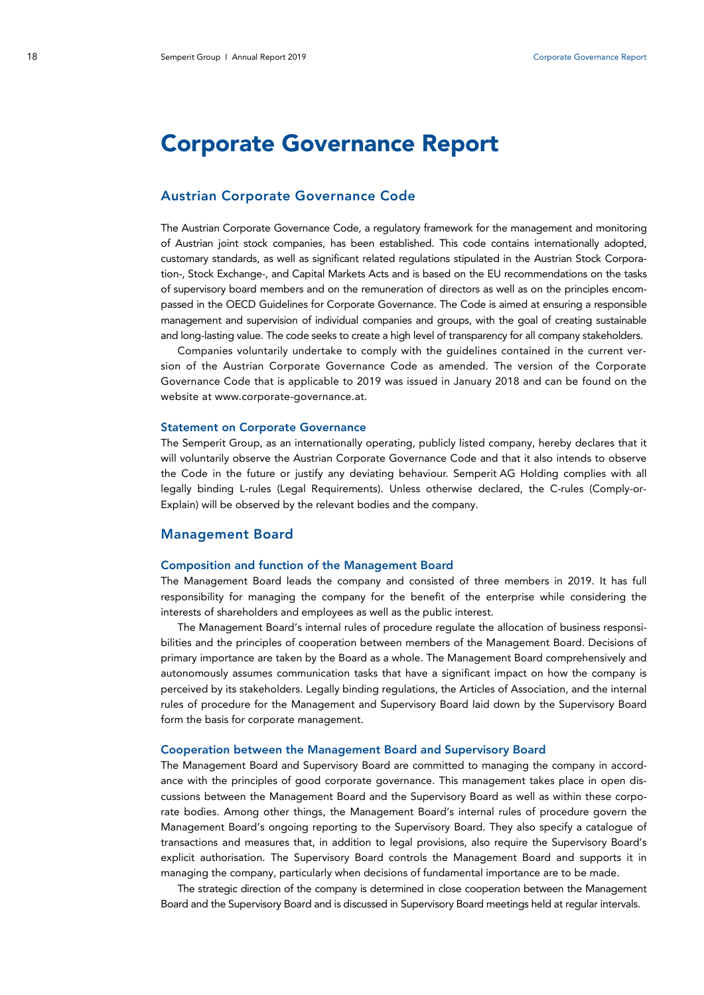# Corporate Governance Report

## Austrian Corporate Governance Code

The Austrian Corporate Governance Code, a regulatory framework for the management and monitoring of Austrian joint stock companies, has been established. This code contains internationally adopted, customary standards, as well as significant related regulations stipulated in the Austrian Stock Corporation-, Stock Exchange-, and Capital Markets Acts and is based on the EU recommendations on the tasks of supervisory board members and on the remuneration of directors as well as on the principles encompassed in the OECD Guidelines for Corporate Governance. The Code is aimed at ensuring a responsible management and supervision of individual companies and groups, with the goal of creating sustainable and long-lasting value. The code seeks to create a high level of transparency for all company stakeholders.

Companies voluntarily undertake to comply with the guidelines contained in the current version of the Austrian Corporate Governance Code as amended. The version of the Corporate Governance Code that is applicable to 2019 was issued in January 2018 and can be found on the website at www.corporate-governance.at.

#### Statement on Corporate Governance

The Semperit Group, as an internationally operating, publicly listed company, hereby declares that it will voluntarily observe the Austrian Corporate Governance Code and that it also intends to observe the Code in the future or justify any deviating behaviour. Semperit AG Holding complies with all legally binding L-rules (Legal Requirements). Unless otherwise declared, the C-rules (Comply-or-Explain) will be observed by the relevant bodies and the company.

## Management Board

## Composition and function of the Management Board

The Management Board leads the company and consisted of three members in 2019. It has full responsibility for managing the company for the benefit of the enterprise while considering the interests of shareholders and employees as well as the public interest.

The Management Board's internal rules of procedure regulate the allocation of business responsibilities and the principles of cooperation between members of the Management Board. Decisions of primary importance are taken by the Board as a whole. The Management Board comprehensively and autonomously assumes communication tasks that have a significant impact on how the company is perceived by its stakeholders. Legally binding regulations, the Articles of Association, and the internal rules of procedure for the Management and Supervisory Board laid down by the Supervisory Board form the basis for corporate management.

#### Cooperation between the Management Board and Supervisory Board

The Management Board and Supervisory Board are committed to managing the company in accordance with the principles of good corporate governance. This management takes place in open discussions between the Management Board and the Supervisory Board as well as within these corporate bodies. Among other things, the Management Board's internal rules of procedure govern the Management Board's ongoing reporting to the Supervisory Board. They also specify a catalogue of transactions and measures that, in addition to legal provisions, also require the Supervisory Board's explicit authorisation. The Supervisory Board controls the Management Board and supports it in managing the company, particularly when decisions of fundamental importance are to be made.

The strategic direction of the company is determined in close cooperation between the Management Board and the Supervisory Board and is discussed in Supervisory Board meetings held at regular intervals.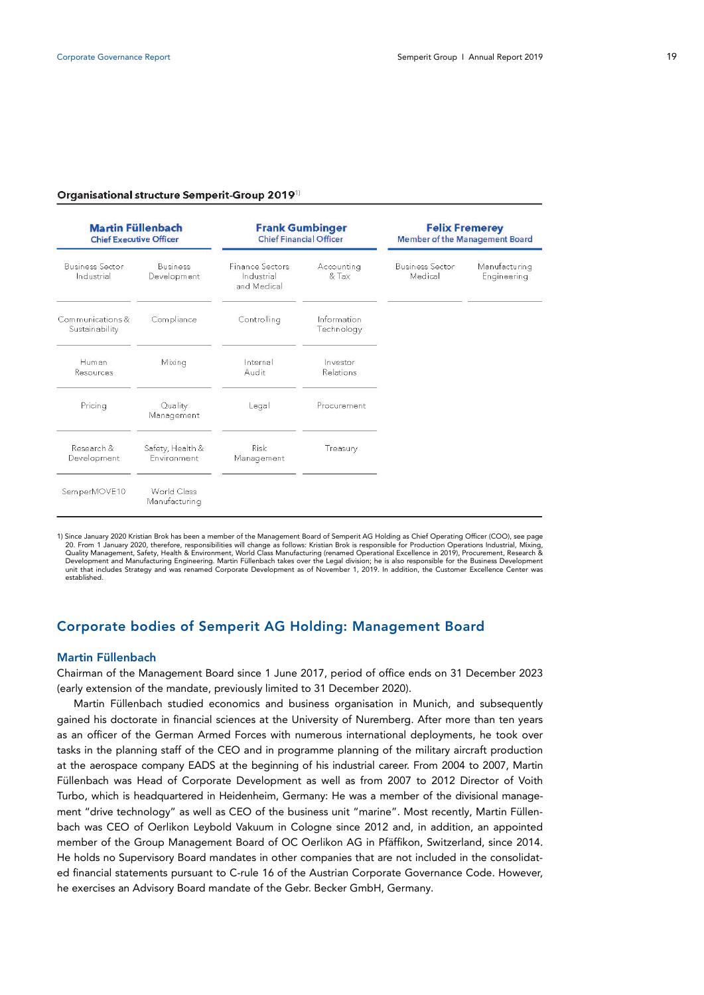#### Organisational structure Semperit-Group 2019<sup>1)</sup>

| <b>Martin Füllenbach</b><br><b>Chief Executive Officer</b> |                                 | <b>Frank Gumbinger</b><br><b>Chief Financial Officer</b> |                           | <b>Felix Fremerey</b><br>Member of the Management Board |                              |  |
|------------------------------------------------------------|---------------------------------|----------------------------------------------------------|---------------------------|---------------------------------------------------------|------------------------------|--|
| <b>Business Sector</b><br>Industrial                       | <b>Business</b><br>Development  | <b>Finance Sectors</b><br>Industrial<br>and Medical      | Accounting<br>& Tax       | <b>Business Sector</b><br>Medical                       | Manufacturing<br>Engineering |  |
| Communications &<br>Sustainability                         | Compliance                      | Controlling                                              | Information<br>Technology |                                                         |                              |  |
| Human<br>Resources                                         | Mixing                          | Internal<br>Audit                                        | Investor<br>Relations     |                                                         |                              |  |
| Pricing                                                    | Quality<br>Management           | Legal                                                    | Procurement               |                                                         |                              |  |
| Research &<br>Development                                  | Safety, Health &<br>Environment | Risk<br>Management                                       | Treasury                  |                                                         |                              |  |
| SemperMOVE10                                               | World Class<br>Manufacturing    |                                                          |                           |                                                         |                              |  |

1) Since January 2020 Kristian Brok has been a member of the Management Board of Semperit AG Holding as Chief Operating Officer (COO), see page 20. From 1 January 2020, therefore, responsibilities will change as follows: Kristian Brok is responsible for Production Operations Industrial, Mixing,<br>Quality Management, Safety, Health & Environment, World Class Manufact unit that includes Strategy and was renamed Corporate Development as of November 1, 2019. In addition, the Customer Excellence Center was established.

## Corporate bodies of Semperit AG Holding: Management Board

## Martin Füllenbach

Chairman of the Management Board since 1 June 2017, period of office ends on 31 December 2023 (early extension of the mandate, previously limited to 31 December 2020).

Martin Füllenbach studied economics and business organisation in Munich, and subsequently gained his doctorate in financial sciences at the University of Nuremberg. After more than ten years as an officer of the German Armed Forces with numerous international deployments, he took over tasks in the planning staff of the CEO and in programme planning of the military aircraft production at the aerospace company EADS at the beginning of his industrial career. From 2004 to 2007, Martin Füllenbach was Head of Corporate Development as well as from 2007 to 2012 Director of Voith Turbo, which is headquartered in Heidenheim, Germany: He was a member of the divisional management "drive technology" as well as CEO of the business unit "marine". Most recently, Martin Füllenbach was CEO of Oerlikon Leybold Vakuum in Cologne since 2012 and, in addition, an appointed member of the Group Management Board of OC Oerlikon AG in Pfäffikon, Switzerland, since 2014. He holds no Supervisory Board mandates in other companies that are not included in the consolidated financial statements pursuant to C-rule 16 of the Austrian Corporate Governance Code. However, he exercises an Advisory Board mandate of the Gebr. Becker GmbH, Germany.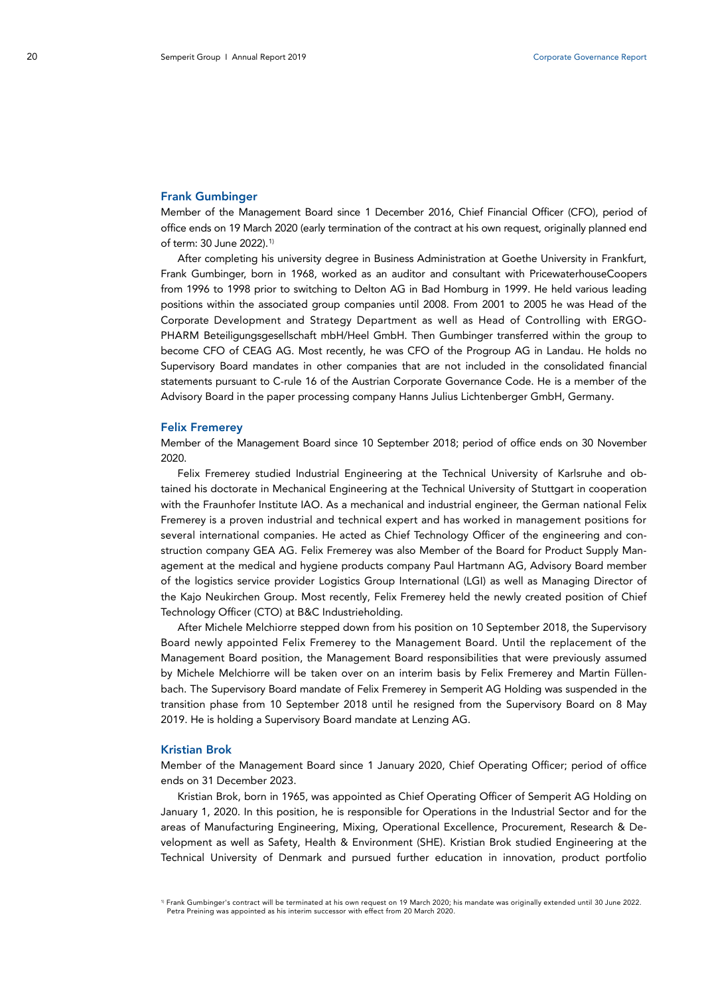#### Frank Gumbinger

Member of the Management Board since 1 December 2016, Chief Financial Officer (CFO), period of office ends on 19 March 2020 (early termination of the contract at his own request, originally planned end of term: 30 June 2022). [1](#page-2-0))

After completing his university degree in Business Administration at Goethe University in Frankfurt, Frank Gumbinger, born in 1968, worked as an auditor and consultant with PricewaterhouseCoopers from 1996 to 1998 prior to switching to Delton AG in Bad Homburg in 1999. He held various leading positions within the associated group companies until 2008. From 2001 to 2005 he was Head of the Corporate Development and Strategy Department as well as Head of Controlling with ERGO-PHARM Beteiligungsgesellschaft mbH/Heel GmbH. Then Gumbinger transferred within the group to become CFO of CEAG AG. Most recently, he was CFO of the Progroup AG in Landau. He holds no Supervisory Board mandates in other companies that are not included in the consolidated financial statements pursuant to C-rule 16 of the Austrian Corporate Governance Code. He is a member of the Advisory Board in the paper processing company Hanns Julius Lichtenberger GmbH, Germany.

#### Felix Fremerey

Member of the Management Board since 10 September 2018; period of office ends on 30 November 2020.

Felix Fremerey studied Industrial Engineering at the Technical University of Karlsruhe and obtained his doctorate in Mechanical Engineering at the Technical University of Stuttgart in cooperation with the Fraunhofer Institute IAO. As a mechanical and industrial engineer, the German national Felix Fremerey is a proven industrial and technical expert and has worked in management positions for several international companies. He acted as Chief Technology Officer of the engineering and construction company GEA AG. Felix Fremerey was also Member of the Board for Product Supply Management at the medical and hygiene products company Paul Hartmann AG, Advisory Board member of the logistics service provider Logistics Group International (LGI) as well as Managing Director of the Kajo Neukirchen Group. Most recently, Felix Fremerey held the newly created position of Chief Technology Officer (CTO) at B&C Industrieholding.

After Michele Melchiorre stepped down from his position on 10 September 2018, the Supervisory Board newly appointed Felix Fremerey to the Management Board. Until the replacement of the Management Board position, the Management Board responsibilities that were previously assumed by Michele Melchiorre will be taken over on an interim basis by Felix Fremerey and Martin Füllenbach. The Supervisory Board mandate of Felix Fremerey in Semperit AG Holding was suspended in the transition phase from 10 September 2018 until he resigned from the Supervisory Board on 8 May 2019. He is holding a Supervisory Board mandate at Lenzing AG.

## Kristian Brok

Member of the Management Board since 1 January 2020, Chief Operating Officer; period of office ends on 31 December 2023.

Kristian Brok, born in 1965, was appointed as Chief Operating Officer of Semperit AG Holding on January 1, 2020. In this position, he is responsible for Operations in the Industrial Sector and for the areas of Manufacturing Engineering, Mixing, Operational Excellence, Procurement, Research & Development as well as Safety, Health & Environment (SHE). Kristian Brok studied Engineering at the Technical University of Denmark and pursued further education in innovation, product portfolio

<span id="page-2-0"></span><sup>1)</sup> Frank Gumbinger's contract will be terminated at his own request on 19 March 2020; his mandate was originally extended until 30 June 2022. Petra Preining was appointed as his interim successor with effect from 20 March 2020.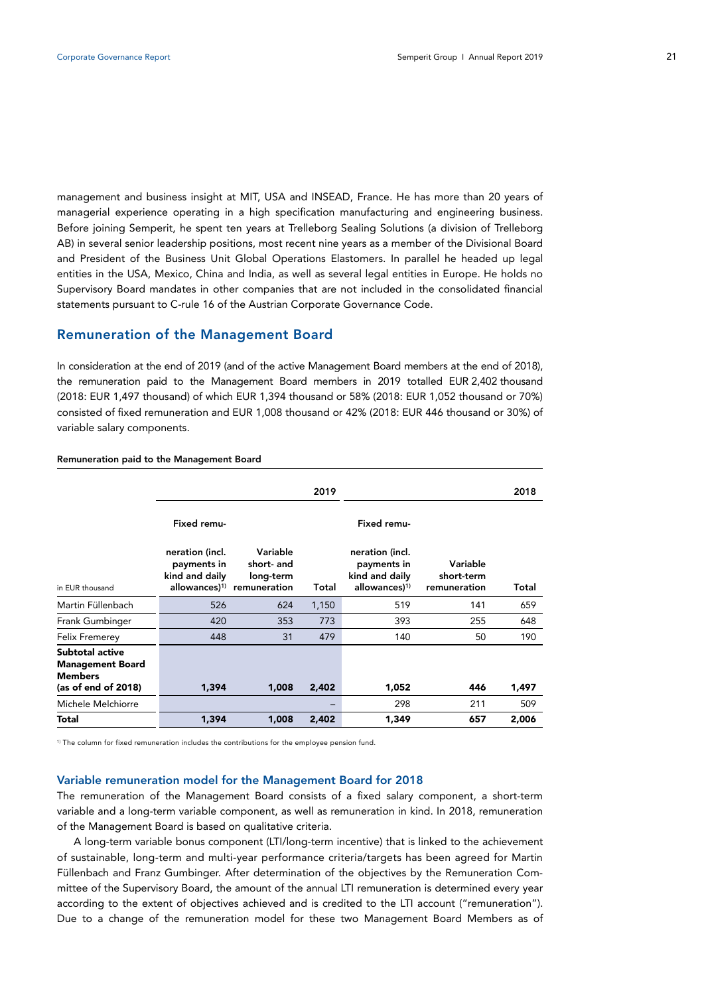management and business insight at MIT, USA and INSEAD, France. He has more than 20 years of managerial experience operating in a high specification manufacturing and engineering business. Before joining Semperit, he spent ten years at Trelleborg Sealing Solutions (a division of Trelleborg AB) in several senior leadership positions, most recent nine years as a member of the Divisional Board and President of the Business Unit Global Operations Elastomers. In parallel he headed up legal entities in the USA, Mexico, China and India, as well as several legal entities in Europe. He holds no Supervisory Board mandates in other companies that are not included in the consolidated financial statements pursuant to C-rule 16 of the Austrian Corporate Governance Code.

## Remuneration of the Management Board

In consideration at the end of 2019 (and of the active Management Board members at the end of 2018), the remuneration paid to the Management Board members in 2019 totalled EUR 2,402 thousand (2018: EUR 1,497 thousand) of which EUR 1,394 thousand or 58% (2018: EUR 1,052 thousand or 70%) consisted of fixed remuneration and EUR 1,008 thousand or 42% (2018: EUR 446 thousand or 30%) of variable salary components.

|                                                                                     |                                                  |                                                                               | 2019  |                                                                               |                                        | 2018  |
|-------------------------------------------------------------------------------------|--------------------------------------------------|-------------------------------------------------------------------------------|-------|-------------------------------------------------------------------------------|----------------------------------------|-------|
|                                                                                     | Fixed remu-                                      |                                                                               |       | Fixed remu-                                                                   |                                        |       |
| in EUR thousand                                                                     | neration (incl.<br>payments in<br>kind and daily | Variable<br>short- and<br>long-term<br>allowances) <sup>1)</sup> remuneration | Total | neration (incl.<br>payments in<br>kind and daily<br>allowances) <sup>1)</sup> | Variable<br>short-term<br>remuneration | Total |
| Martin Füllenbach                                                                   | 526                                              | 624                                                                           | 1,150 | 519                                                                           | 141                                    | 659   |
| Frank Gumbinger                                                                     | 420                                              | 353                                                                           | 773   | 393                                                                           | 255                                    | 648   |
| <b>Felix Fremerey</b>                                                               | 448                                              | 31                                                                            | 479   | 140                                                                           | 50                                     | 190   |
| Subtotal active<br><b>Management Board</b><br><b>Members</b><br>(as of end of 2018) | 1,394                                            | 1,008                                                                         | 2,402 | 1,052                                                                         | 446                                    | 1,497 |
| Michele Melchiorre                                                                  |                                                  |                                                                               |       | 298                                                                           | 211                                    | 509   |
| Total                                                                               | 1,394                                            | 1,008                                                                         | 2,402 | 1,349                                                                         | 657                                    | 2,006 |

#### Remuneration paid to the Management Board

<sup>1)</sup> The column for fixed remuneration includes the contributions for the employee pension fund.

#### Variable remuneration model for the Management Board for 2018

The remuneration of the Management Board consists of a fixed salary component, a short-term variable and a long-term variable component, as well as remuneration in kind. In 2018, remuneration of the Management Board is based on qualitative criteria.

A long-term variable bonus component (LTI/long-term incentive) that is linked to the achievement of sustainable, long-term and multi-year performance criteria/targets has been agreed for Martin Füllenbach and Franz Gumbinger. After determination of the objectives by the Remuneration Committee of the Supervisory Board, the amount of the annual LTI remuneration is determined every year according to the extent of objectives achieved and is credited to the LTI account ("remuneration"). Due to a change of the remuneration model for these two Management Board Members as of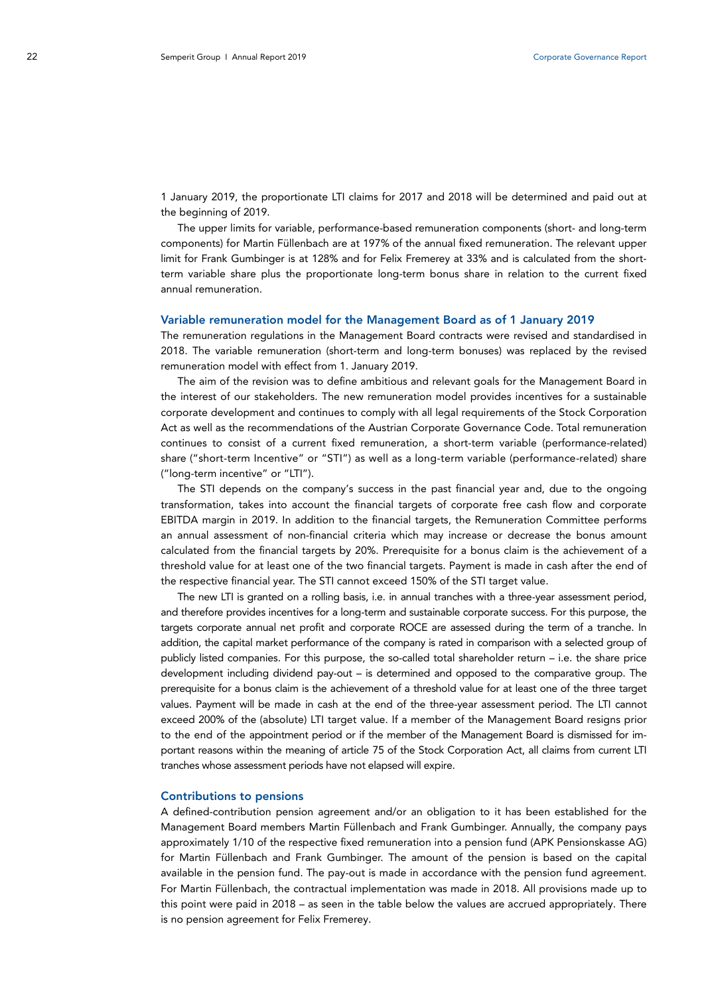1 January 2019, the proportionate LTI claims for 2017 and 2018 will be determined and paid out at the beginning of 2019.

The upper limits for variable, performance-based remuneration components (short- and long-term components) for Martin Füllenbach are at 197% of the annual fixed remuneration. The relevant upper limit for Frank Gumbinger is at 128% and for Felix Fremerey at 33% and is calculated from the shortterm variable share plus the proportionate long-term bonus share in relation to the current fixed annual remuneration.

#### Variable remuneration model for the Management Board as of 1 January 2019

The remuneration regulations in the Management Board contracts were revised and standardised in 2018. The variable remuneration (short-term and long-term bonuses) was replaced by the revised remuneration model with effect from 1. January 2019.

The aim of the revision was to define ambitious and relevant goals for the Management Board in the interest of our stakeholders. The new remuneration model provides incentives for a sustainable corporate development and continues to comply with all legal requirements of the Stock Corporation Act as well as the recommendations of the Austrian Corporate Governance Code. Total remuneration continues to consist of a current fixed remuneration, a short-term variable (performance-related) share ("short-term Incentive" or "STI") as well as a long-term variable (performance-related) share ("long-term incentive" or "LTI").

The STI depends on the company's success in the past financial year and, due to the ongoing transformation, takes into account the financial targets of corporate free cash flow and corporate EBITDA margin in 2019. In addition to the financial targets, the Remuneration Committee performs an annual assessment of non-financial criteria which may increase or decrease the bonus amount calculated from the financial targets by 20%. Prerequisite for a bonus claim is the achievement of a threshold value for at least one of the two financial targets. Payment is made in cash after the end of the respective financial year. The STI cannot exceed 150% of the STI target value.

The new LTI is granted on a rolling basis, i.e. in annual tranches with a three-year assessment period, and therefore provides incentives for a long-term and sustainable corporate success. For this purpose, the targets corporate annual net profit and corporate ROCE are assessed during the term of a tranche. In addition, the capital market performance of the company is rated in comparison with a selected group of publicly listed companies. For this purpose, the so-called total shareholder return – i.e. the share price development including dividend pay-out – is determined and opposed to the comparative group. The prerequisite for a bonus claim is the achievement of a threshold value for at least one of the three target values. Payment will be made in cash at the end of the three-year assessment period. The LTI cannot exceed 200% of the (absolute) LTI target value. If a member of the Management Board resigns prior to the end of the appointment period or if the member of the Management Board is dismissed for important reasons within the meaning of article 75 of the Stock Corporation Act, all claims from current LTI tranches whose assessment periods have not elapsed will expire.

#### Contributions to pensions

A defined-contribution pension agreement and/or an obligation to it has been established for the Management Board members Martin Füllenbach and Frank Gumbinger. Annually, the company pays approximately 1/10 of the respective fixed remuneration into a pension fund (APK Pensionskasse AG) for Martin Füllenbach and Frank Gumbinger. The amount of the pension is based on the capital available in the pension fund. The pay-out is made in accordance with the pension fund agreement. For Martin Füllenbach, the contractual implementation was made in 2018. All provisions made up to this point were paid in 2018 – as seen in the table below the values are accrued appropriately. There is no pension agreement for Felix Fremerey.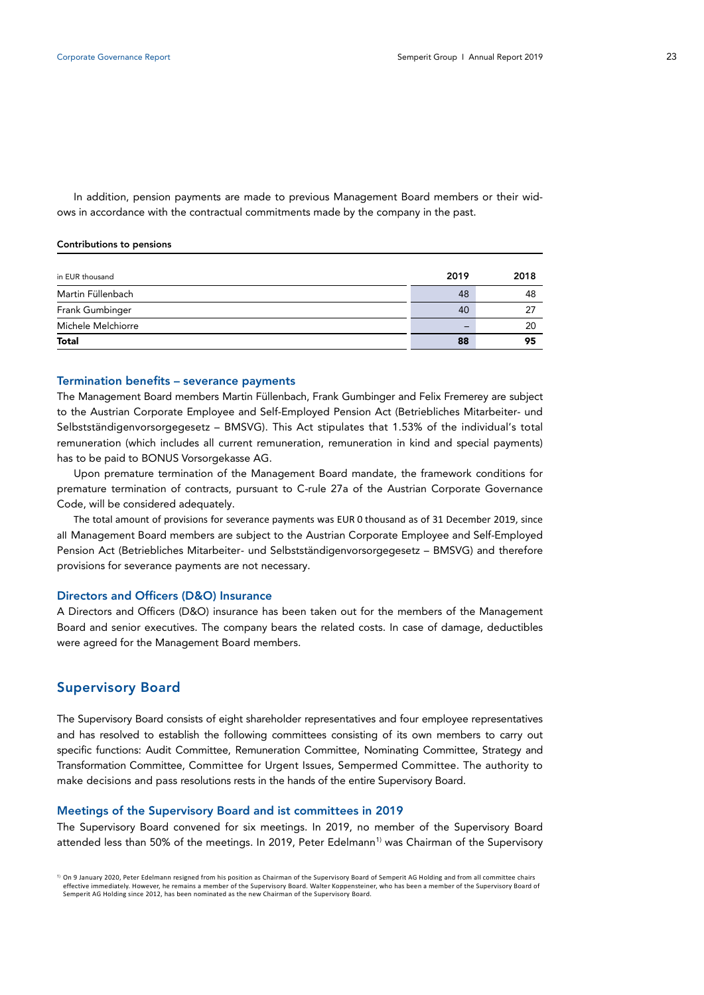In addition, pension payments are made to previous Management Board members or their widows in accordance with the contractual commitments made by the company in the past.

#### Contributions to pensions

| <b>Total</b>       | 88   | 95   |
|--------------------|------|------|
| Michele Melchiorre |      | 20   |
| Frank Gumbinger    | 40   | 27   |
| Martin Füllenbach  | 48   | 48   |
| in EUR thousand    | 2019 | 2018 |
|                    |      |      |

## Termination benefits – severance payments

The Management Board members Martin Füllenbach, Frank Gumbinger and Felix Fremerey are subject to the Austrian Corporate Employee and Self-Employed Pension Act (Betriebliches Mitarbeiter- und Selbstständigenvorsorgegesetz – BMSVG). This Act stipulates that 1.53% of the individual's total remuneration (which includes all current remuneration, remuneration in kind and special payments) has to be paid to BONUS Vorsorgekasse AG.

Upon premature termination of the Management Board mandate, the framework conditions for premature termination of contracts, pursuant to C-rule 27a of the Austrian Corporate Governance Code, will be considered adequately.

The total amount of provisions for severance payments was EUR 0 thousand as of 31 December 2019, since all Management Board members are subject to the Austrian Corporate Employee and Self-Employed Pension Act (Betriebliches Mitarbeiter- und Selbstständigenvorsorgegesetz – BMSVG) and therefore provisions for severance payments are not necessary.

#### Directors and Officers (D&O) Insurance

A Directors and Officers (D&O) insurance has been taken out for the members of the Management Board and senior executives. The company bears the related costs. In case of damage, deductibles were agreed for the Management Board members.

## Supervisory Board

The Supervisory Board consists of eight shareholder representatives and four employee representatives and has resolved to establish the following committees consisting of its own members to carry out specific functions: Audit Committee, Remuneration Committee, Nominating Committee, Strategy and Transformation Committee, Committee for Urgent Issues, Sempermed Committee. The authority to make decisions and pass resolutions rests in the hands of the entire Supervisory Board.

### Meetings of the Supervisory Board and ist committees in 2019

The Supervisory Board convened for six meetings. In 2019, no member of the Supervisory Board attended less than 50% of the meetings. In 20[1](#page-5-0)9, Peter Edelmann<sup>1)</sup> was Chairman of the Supervisory

<span id="page-5-0"></span> $1)$  On 9 January 2020, Peter Edelmann resigned from his position as Chairman of the Supervisory Board of Semperit AG Holding and from all committee chairs effective immediately. However, he remains a member of the Supervisory Board. Walter Koppensteiner, who has been a member of the Supervisory Board of Semperit AG Holding since 2012, has been nominated as the new Chairman of the Supervisory Board.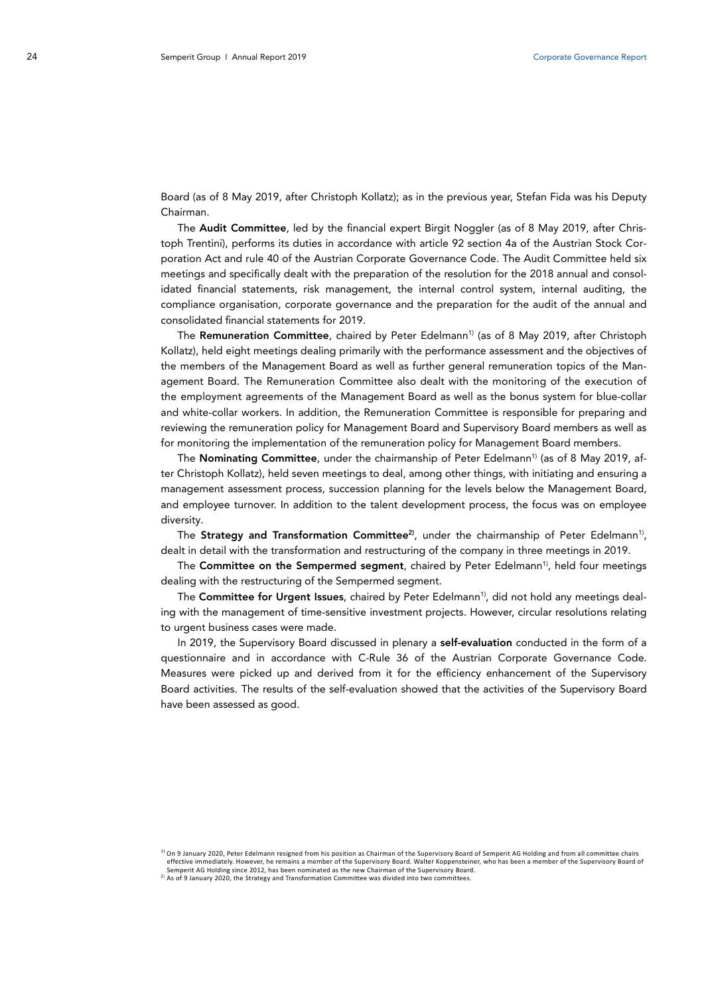Board (as of 8 May 2019, after Christoph Kollatz); as in the previous year, Stefan Fida was his Deputy Chairman.

The **Audit Committee**, led by the financial expert Birgit Noggler (as of 8 May 2019, after Christoph Trentini), performs its duties in accordance with article 92 section 4a of the Austrian Stock Corporation Act and rule 40 of the Austrian Corporate Governance Code. The Audit Committee held six meetings and specifically dealt with the preparation of the resolution for the 2018 annual and consolidated financial statements, risk management, the internal control system, internal auditing, the compliance organisation, corporate governance and the preparation for the audit of the annual and consolidated financial statements for 2019.

The Remuneration Committee, chaired by Peter Edelmann<sup>1)</sup> (as of 8 May 2019, after Christoph Kollatz), held eight meetings dealing primarily with the performance assessment and the objectives of the members of the Management Board as well as further general remuneration topics of the Management Board. The Remuneration Committee also dealt with the monitoring of the execution of the employment agreements of the Management Board as well as the bonus system for blue-collar and white-collar workers. In addition, the Remuneration Committee is responsible for preparing and reviewing the remuneration policy for Management Board and Supervisory Board members as well as for monitoring the implementation of the remuneration policy for Management Board members.

The Nominating Committee, under the chairmanship of Peter Edelmann<sup>1)</sup> (as of 8 May 2019, after Christoph Kollatz), held seven meetings to deal, among other things, with initiating and ensuring a management assessment process, succession planning for the levels below the Management Board, and employee turnover. In addition to the talent development process, the focus was on employee diversity.

The Strategy and Transformation Committee<sup>2)</sup>, under the chairmanship of Peter Edelmann<sup>1)</sup>, dealt in detail with the transformation and restructuring of the company in three meetings in 2019.

The Committee on the Sempermed segment, chaired by Peter Edelmann<sup>1)</sup>, held four meetings dealing with the restructuring of the Sempermed segment.

The Committee for Urgent Issues, chaired by Peter Edelmann<sup>1)</sup>, did not hold any meetings dealing with the management of time-sensitive investment projects. However, circular resolutions relating to urgent business cases were made.

In 2019, the Supervisory Board discussed in plenary a self-evaluation conducted in the form of a questionnaire and in accordance with C-Rule 36 of the Austrian Corporate Governance Code. Measures were picked up and derived from it for the efficiency enhancement of the Supervisory Board activities. The results of the self-evaluation showed that the activities of the Supervisory Board have been assessed as good.

 $1)$  On 9 January 2020, Peter Edelmann resigned from his position as Chairman of the Supervisory Board of Semperit AG Holding and from all committee chairs effective immediately. However, he remains a member of the Supervisory Board. Walter Koppensteiner, who has been a member of the Supervisory Board of Semperit AG Holding since 2012, has been nominated as the new Chairman of the Supervisory Board.

<sup>2</sup>) As of 9 January 2020, the Strategy and Transformation Committee was divided into two committees.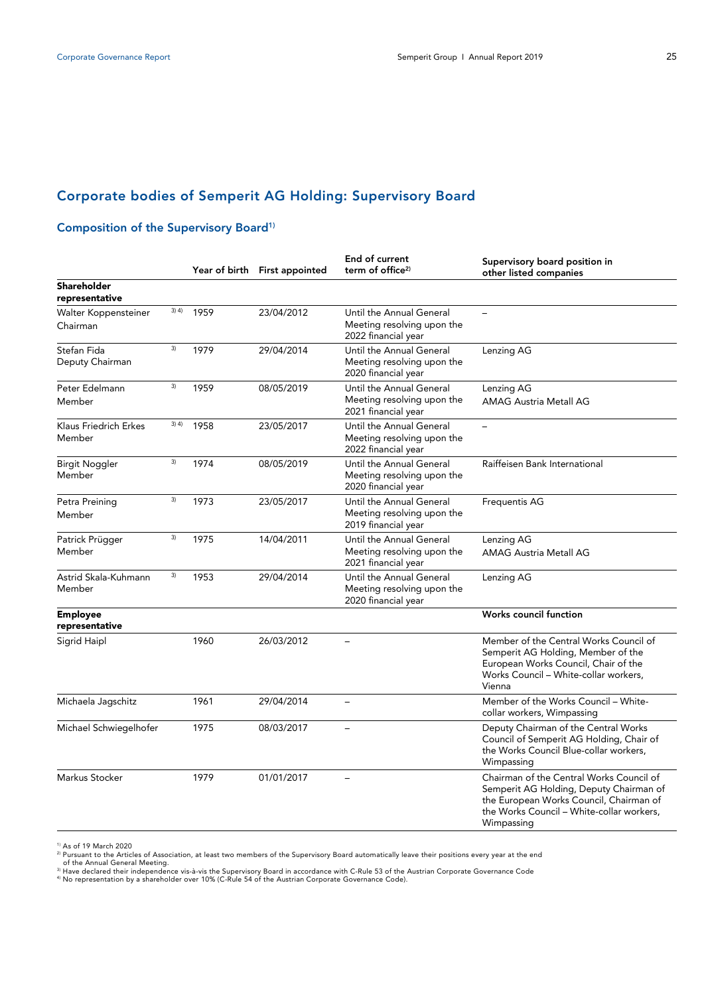# Corporate bodies of Semperit AG Holding: Supervisory Board

# Composition of the Supervisory Board<sup>1)</sup>

|                                      |         |      | Year of birth First appointed | End of current<br>term of office <sup>2)</sup>                                | Supervisory board position in<br>other listed companies                                                                                                                                   |
|--------------------------------------|---------|------|-------------------------------|-------------------------------------------------------------------------------|-------------------------------------------------------------------------------------------------------------------------------------------------------------------------------------------|
| <b>Shareholder</b><br>representative |         |      |                               |                                                                               |                                                                                                                                                                                           |
| Walter Koppensteiner<br>Chairman     | 3) 4)   | 1959 | 23/04/2012                    | Until the Annual General<br>Meeting resolving upon the<br>2022 financial year | $\equiv$                                                                                                                                                                                  |
| Stefan Fida<br>Deputy Chairman       | 3)      | 1979 | 29/04/2014                    | Until the Annual General<br>Meeting resolving upon the<br>2020 financial year | Lenzing AG                                                                                                                                                                                |
| Peter Edelmann<br>Member             | 3)      | 1959 | 08/05/2019                    | Until the Annual General<br>Meeting resolving upon the<br>2021 financial year | Lenzing AG<br><b>AMAG Austria Metall AG</b>                                                                                                                                               |
| Klaus Friedrich Erkes<br>Member      | $3)$ 4) | 1958 | 23/05/2017                    | Until the Annual General<br>Meeting resolving upon the<br>2022 financial year | $\overline{\phantom{0}}$                                                                                                                                                                  |
| Birgit Noggler<br>Member             | 3)      | 1974 | 08/05/2019                    | Until the Annual General<br>Meeting resolving upon the<br>2020 financial year | Raiffeisen Bank International                                                                                                                                                             |
| Petra Preining<br>Member             | 3)      | 1973 | 23/05/2017                    | Until the Annual General<br>Meeting resolving upon the<br>2019 financial year | <b>Frequentis AG</b>                                                                                                                                                                      |
| Patrick Prügger<br>Member            | 3)      | 1975 | 14/04/2011                    | Until the Annual General<br>Meeting resolving upon the<br>2021 financial year | Lenzing AG<br><b>AMAG Austria Metall AG</b>                                                                                                                                               |
| Astrid Skala-Kuhmann<br>Member       | 3)      | 1953 | 29/04/2014                    | Until the Annual General<br>Meeting resolving upon the<br>2020 financial year | Lenzing AG                                                                                                                                                                                |
| <b>Employee</b><br>representative    |         |      |                               |                                                                               | Works council function                                                                                                                                                                    |
| Sigrid Haipl                         |         | 1960 | 26/03/2012                    |                                                                               | Member of the Central Works Council of<br>Semperit AG Holding, Member of the<br>European Works Council, Chair of the<br>Works Council - White-collar workers,<br>Vienna                   |
| Michaela Jagschitz                   |         | 1961 | 29/04/2014                    | $\overline{a}$                                                                | Member of the Works Council - White-<br>collar workers, Wimpassing                                                                                                                        |
| Michael Schwiegelhofer               |         | 1975 | 08/03/2017                    | $\overline{\phantom{0}}$                                                      | Deputy Chairman of the Central Works<br>Council of Semperit AG Holding, Chair of<br>the Works Council Blue-collar workers,<br>Wimpassing                                                  |
| Markus Stocker                       |         | 1979 | 01/01/2017                    |                                                                               | Chairman of the Central Works Council of<br>Semperit AG Holding, Deputy Chairman of<br>the European Works Council, Chairman of<br>the Works Council - White-collar workers.<br>Wimpassing |

<sup>1)</sup> As of 19 March 2020<br><sup>21</sup> Pursuant to the Articles of Association, at least two members of the Supervisory Board automatically leave their positions every year at the end<br><sup>21</sup> Hursuant Central Meeting.<br><sup>3)</sup> Have declar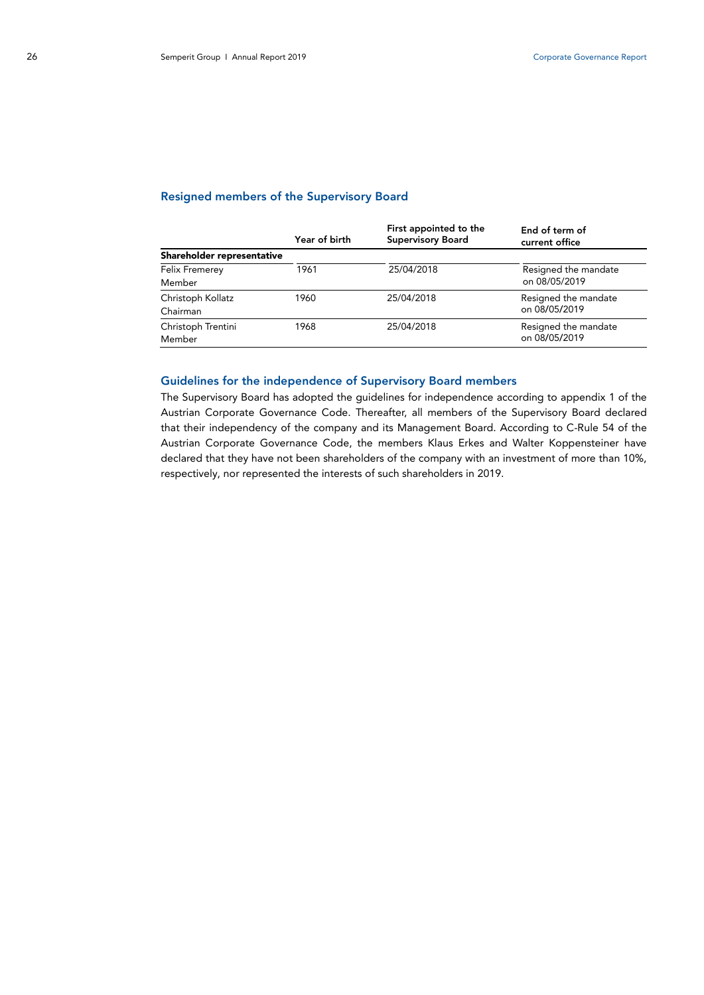## Resigned members of the Supervisory Board

|                            | Year of birth | First appointed to the<br><b>Supervisory Board</b> | End of term of<br>current office |
|----------------------------|---------------|----------------------------------------------------|----------------------------------|
| Shareholder representative |               |                                                    |                                  |
| Felix Fremerey             | 1961          | 25/04/2018                                         | Resigned the mandate             |
| Member                     |               |                                                    | on 08/05/2019                    |
| Christoph Kollatz          | 1960          | 25/04/2018                                         | Resigned the mandate             |
| Chairman                   |               |                                                    | on 08/05/2019                    |
| Christoph Trentini         | 1968          | 25/04/2018                                         | Resigned the mandate             |
| Member                     |               |                                                    | on 08/05/2019                    |

## Guidelines for the independence of Supervisory Board members

The Supervisory Board has adopted the guidelines for independence according to appendix 1 of the Austrian Corporate Governance Code. Thereafter, all members of the Supervisory Board declared that their independency of the company and its Management Board. According to C-Rule 54 of the Austrian Corporate Governance Code, the members Klaus Erkes and Walter Koppensteiner have declared that they have not been shareholders of the company with an investment of more than 10%, respectively, nor represented the interests of such shareholders in 2019.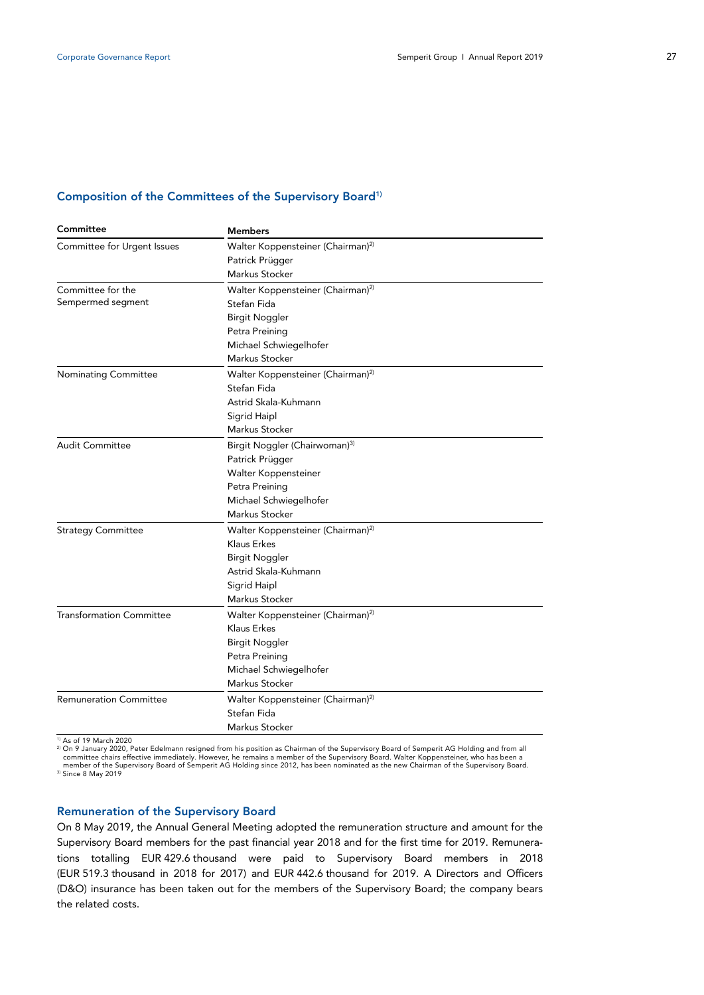## Composition of the Committees of the Supervisory Board<sup>1)</sup>

| Committee                       | <b>Members</b>                                |  |  |  |
|---------------------------------|-----------------------------------------------|--|--|--|
| Committee for Urgent Issues     | Walter Koppensteiner (Chairman) <sup>2)</sup> |  |  |  |
|                                 | Patrick Prügger                               |  |  |  |
|                                 | Markus Stocker                                |  |  |  |
| Committee for the               | Walter Koppensteiner (Chairman) <sup>2)</sup> |  |  |  |
| Sempermed segment               | Stefan Fida                                   |  |  |  |
|                                 | <b>Birgit Noggler</b>                         |  |  |  |
|                                 | Petra Preining                                |  |  |  |
|                                 | Michael Schwiegelhofer                        |  |  |  |
|                                 | Markus Stocker                                |  |  |  |
| <b>Nominating Committee</b>     | Walter Koppensteiner (Chairman) <sup>2)</sup> |  |  |  |
|                                 | Stefan Fida                                   |  |  |  |
|                                 | Astrid Skala-Kuhmann                          |  |  |  |
|                                 | Sigrid Haipl                                  |  |  |  |
|                                 | Markus Stocker                                |  |  |  |
| <b>Audit Committee</b>          | Birgit Noggler (Chairwoman) <sup>3)</sup>     |  |  |  |
|                                 | Patrick Prügger                               |  |  |  |
|                                 | Walter Koppensteiner                          |  |  |  |
|                                 | Petra Preining                                |  |  |  |
|                                 | Michael Schwiegelhofer                        |  |  |  |
|                                 | Markus Stocker                                |  |  |  |
| <b>Strategy Committee</b>       | Walter Koppensteiner (Chairman) <sup>2)</sup> |  |  |  |
|                                 | Klaus Erkes                                   |  |  |  |
|                                 | <b>Birgit Noggler</b>                         |  |  |  |
|                                 | Astrid Skala-Kuhmann                          |  |  |  |
|                                 | Sigrid Haipl                                  |  |  |  |
|                                 | Markus Stocker                                |  |  |  |
| <b>Transformation Committee</b> | Walter Koppensteiner (Chairman) <sup>2)</sup> |  |  |  |
|                                 | Klaus Erkes                                   |  |  |  |
|                                 | <b>Birgit Noggler</b>                         |  |  |  |
|                                 | Petra Preining                                |  |  |  |
|                                 | Michael Schwiegelhofer                        |  |  |  |
|                                 | Markus Stocker                                |  |  |  |
| <b>Remuneration Committee</b>   | Walter Koppensteiner (Chairman) <sup>2)</sup> |  |  |  |
|                                 | Stefan Fida                                   |  |  |  |
|                                 | Markus Stocker                                |  |  |  |

<sup>1)</sup> As of 19 March 2020

<sup>2</sup> On 9 January 2020, Peter Edelmann resigned from his position as Chairman of the Supervisory Board of Semperit AG Holding and from all<br>committee chairs effective immediately. However, he remains a member of the Supervis member of the Supervisory Board of Semperit AG Holding since 2012, has been nominated as the new Chairman of the Supervisory Board.<br><sup>3)</sup> Since 8 May 2019

## Remuneration of the Supervisory Board

On 8 May 2019, the Annual General Meeting adopted the remuneration structure and amount for the Supervisory Board members for the past financial year 2018 and for the first time for 2019. Remunerations totalling EUR 429.6 thousand were paid to Supervisory Board members in 2018 (EUR 519.3 thousand in 2018 for 2017) and EUR 442.6 thousand for 2019. A Directors and Officers (D&O) insurance has been taken out for the members of the Supervisory Board; the company bears the related costs.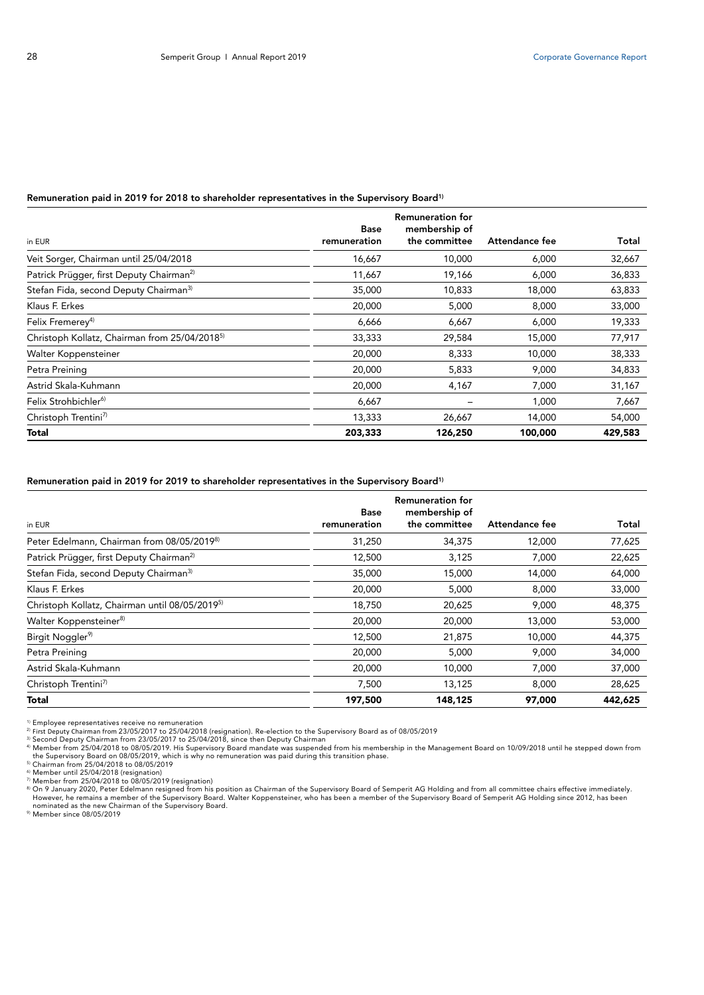## Remuneration paid in 2019 for 2018 to shareholder representatives in the Supervisory Board<sup>1)</sup>

|                                                           | <b>Base</b>  | <b>Remuneration for</b><br>membership of |                |         |
|-----------------------------------------------------------|--------------|------------------------------------------|----------------|---------|
| in EUR                                                    | remuneration | the committee                            | Attendance fee | Total   |
| Veit Sorger, Chairman until 25/04/2018                    | 16,667       | 10,000                                   | 6,000          | 32,667  |
| Patrick Prügger, first Deputy Chairman <sup>2)</sup>      | 11,667       | 19,166                                   | 6,000          | 36,833  |
| Stefan Fida, second Deputy Chairman <sup>3)</sup>         | 35,000       | 10,833                                   | 18,000         | 63,833  |
| Klaus F. Erkes                                            | 20,000       | 5,000                                    | 8,000          | 33,000  |
| Felix Fremerey <sup>4)</sup>                              | 6,666        | 6,667                                    | 6,000          | 19,333  |
| Christoph Kollatz, Chairman from 25/04/2018 <sup>5)</sup> | 33,333       | 29,584                                   | 15,000         | 77,917  |
| Walter Koppensteiner                                      | 20,000       | 8,333                                    | 10,000         | 38,333  |
| Petra Preining                                            | 20,000       | 5,833                                    | 9,000          | 34,833  |
| Astrid Skala-Kuhmann                                      | 20,000       | 4,167                                    | 7,000          | 31,167  |
| Felix Strohbichler <sup>6)</sup>                          | 6,667        |                                          | 1,000          | 7,667   |
| Christoph Trentini <sup>7)</sup>                          | 13,333       | 26,667                                   | 14,000         | 54,000  |
| Total                                                     | 203,333      | 126,250                                  | 100,000        | 429,583 |

## Remuneration paid in 2019 for 2019 to shareholder representatives in the Supervisory Board<sup>1)</sup>

|                                                            | <b>Base</b>  | <b>Remuneration for</b><br>membership of |                |         |
|------------------------------------------------------------|--------------|------------------------------------------|----------------|---------|
| in EUR                                                     | remuneration | the committee                            | Attendance fee | Total   |
| Peter Edelmann, Chairman from 08/05/2019 <sup>8)</sup>     | 31,250       | 34,375                                   | 12,000         | 77,625  |
| Patrick Prügger, first Deputy Chairman <sup>2)</sup>       | 12,500       | 3,125                                    | 7,000          | 22,625  |
| Stefan Fida, second Deputy Chairman <sup>3)</sup>          | 35,000       | 15,000                                   | 14,000         | 64,000  |
| Klaus F. Erkes                                             | 20,000       | 5,000                                    | 8.000          | 33,000  |
| Christoph Kollatz, Chairman until 08/05/2019 <sup>5)</sup> | 18,750       | 20,625                                   | 9,000          | 48,375  |
| Walter Koppensteiner <sup>8)</sup>                         | 20,000       | 20,000                                   | 13,000         | 53,000  |
| Birgit Noggler <sup>9)</sup>                               | 12,500       | 21,875                                   | 10,000         | 44,375  |
| Petra Preining                                             | 20,000       | 5,000                                    | 9,000          | 34,000  |
| Astrid Skala-Kuhmann                                       | 20,000       | 10,000                                   | 7,000          | 37,000  |
| Christoph Trentini <sup>7)</sup>                           | 7,500        | 13,125                                   | 8,000          | 28,625  |
| <b>Total</b>                                               | 197,500      | 148,125                                  | 97,000         | 442,625 |

<sup>1)</sup> Employee representatives receive no remuneration<br><sup>2)</sup> Employee representatives receive no remuneration<br><sup>2)</sup> Erst Deputy Chairman from 23/05/2017 to 25/04/2018 (resignation). Re-election to the Supervisory Board as of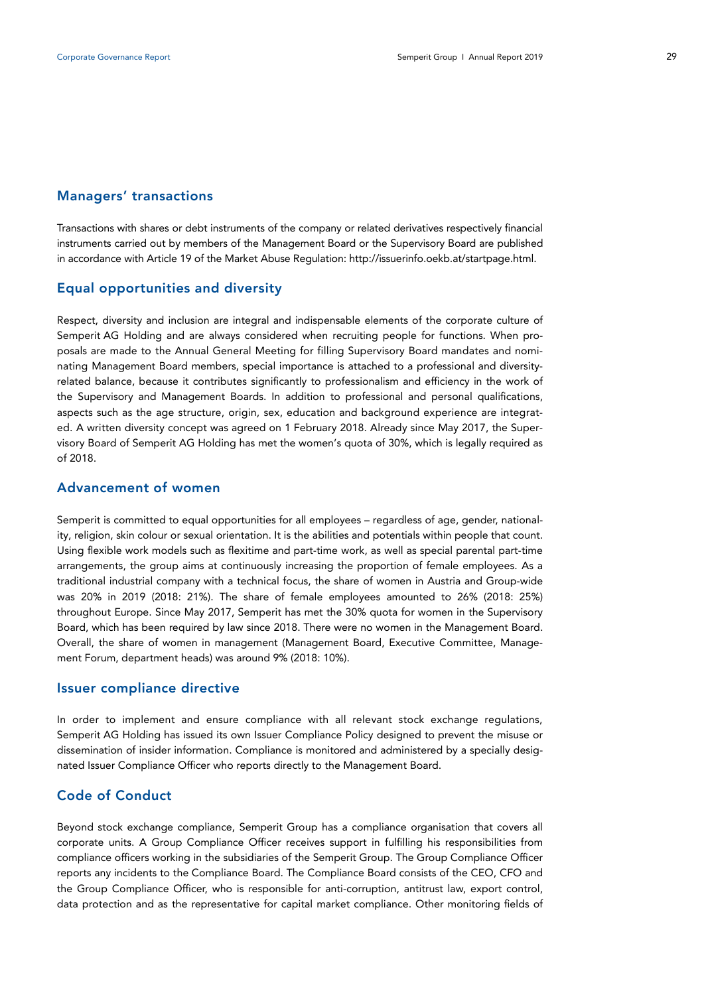## Managers' transactions

Transactions with shares or debt instruments of the company or related derivatives respectively financial instruments carried out by members of the Management Board or the Supervisory Board are published in accordance with Article 19 of the Market Abuse Regulation: http://issuerinfo.oekb.at/startpage.html.

## Equal opportunities and diversity

Respect, diversity and inclusion are integral and indispensable elements of the corporate culture of Semperit AG Holding and are always considered when recruiting people for functions. When proposals are made to the Annual General Meeting for filling Supervisory Board mandates and nominating Management Board members, special importance is attached to a professional and diversityrelated balance, because it contributes significantly to professionalism and efficiency in the work of the Supervisory and Management Boards. In addition to professional and personal qualifications, aspects such as the age structure, origin, sex, education and background experience are integrated. A written diversity concept was agreed on 1 February 2018. Already since May 2017, the Supervisory Board of Semperit AG Holding has met the women's quota of 30%, which is legally required as of 2018.

## Advancement of women

Semperit is committed to equal opportunities for all employees – regardless of age, gender, nationality, religion, skin colour or sexual orientation. It is the abilities and potentials within people that count. Using flexible work models such as flexitime and part-time work, as well as special parental part-time arrangements, the group aims at continuously increasing the proportion of female employees. As a traditional industrial company with a technical focus, the share of women in Austria and Group-wide was 20% in 2019 (2018: 21%). The share of female employees amounted to 26% (2018: 25%) throughout Europe. Since May 2017, Semperit has met the 30% quota for women in the Supervisory Board, which has been required by law since 2018. There were no women in the Management Board. Overall, the share of women in management (Management Board, Executive Committee, Management Forum, department heads) was around 9% (2018: 10%).

## Issuer compliance directive

In order to implement and ensure compliance with all relevant stock exchange regulations, Semperit AG Holding has issued its own Issuer Compliance Policy designed to prevent the misuse or dissemination of insider information. Compliance is monitored and administered by a specially designated Issuer Compliance Officer who reports directly to the Management Board.

# Code of Conduct

Beyond stock exchange compliance, Semperit Group has a compliance organisation that covers all corporate units. A Group Compliance Officer receives support in fulfilling his responsibilities from compliance officers working in the subsidiaries of the Semperit Group. The Group Compliance Officer reports any incidents to the Compliance Board. The Compliance Board consists of the CEO, CFO and the Group Compliance Officer, who is responsible for anti-corruption, antitrust law, export control, data protection and as the representative for capital market compliance. Other monitoring fields of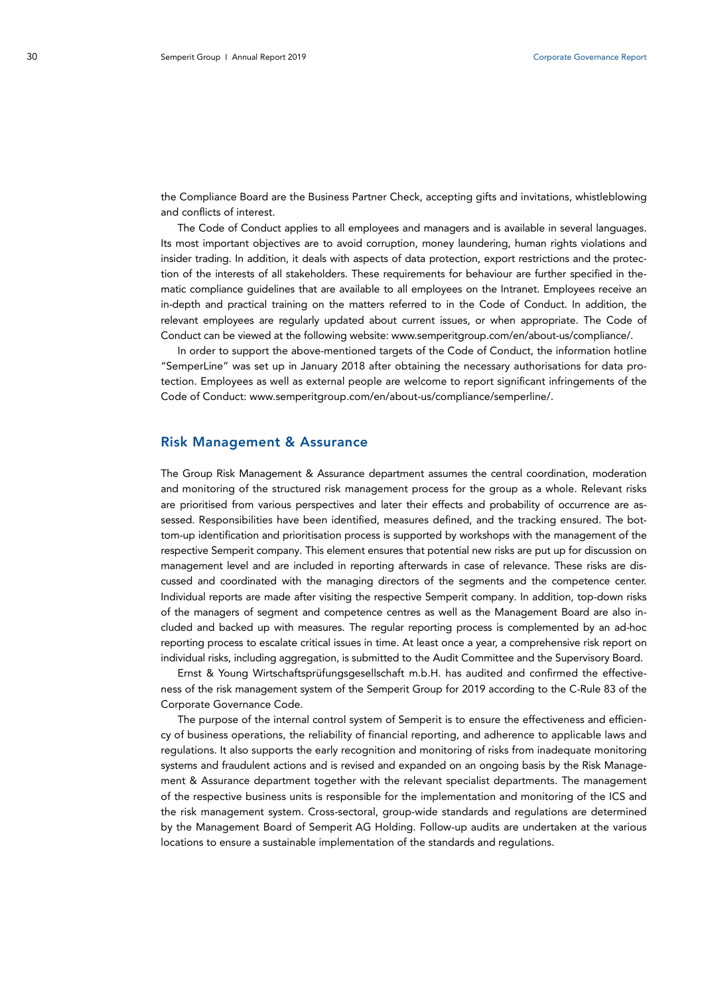the Compliance Board are the Business Partner Check, accepting gifts and invitations, whistleblowing and conflicts of interest.

The Code of Conduct applies to all employees and managers and is available in several languages. Its most important objectives are to avoid corruption, money laundering, human rights violations and insider trading. In addition, it deals with aspects of data protection, export restrictions and the protection of the interests of all stakeholders. These requirements for behaviour are further specified in thematic compliance guidelines that are available to all employees on the Intranet. Employees receive an in-depth and practical training on the matters referred to in the Code of Conduct. In addition, the relevant employees are regularly updated about current issues, or when appropriate. The Code of Conduct can be viewed at the following website: www.semperitgroup.com/en/about-us/compliance/.

In order to support the above-mentioned targets of the Code of Conduct, the information hotline "SemperLine" was set up in January 2018 after obtaining the necessary authorisations for data protection. Employees as well as external people are welcome to report significant infringements of the Code of Conduct: www.semperitgroup.com/en/about-us/compliance/semperline/.

## Risk Management & Assurance

The Group Risk Management & Assurance department assumes the central coordination, moderation and monitoring of the structured risk management process for the group as a whole. Relevant risks are prioritised from various perspectives and later their effects and probability of occurrence are assessed. Responsibilities have been identified, measures defined, and the tracking ensured. The bottom-up identification and prioritisation process is supported by workshops with the management of the respective Semperit company. This element ensures that potential new risks are put up for discussion on management level and are included in reporting afterwards in case of relevance. These risks are discussed and coordinated with the managing directors of the segments and the competence center. Individual reports are made after visiting the respective Semperit company. In addition, top-down risks of the managers of segment and competence centres as well as the Management Board are also included and backed up with measures. The regular reporting process is complemented by an ad-hoc reporting process to escalate critical issues in time. At least once a year, a comprehensive risk report on individual risks, including aggregation, is submitted to the Audit Committee and the Supervisory Board.

Ernst & Young Wirtschaftsprüfungsgesellschaft m.b.H. has audited and confirmed the effectiveness of the risk management system of the Semperit Group for 2019 according to the C-Rule 83 of the Corporate Governance Code.

The purpose of the internal control system of Semperit is to ensure the effectiveness and efficiency of business operations, the reliability of financial reporting, and adherence to applicable laws and regulations. It also supports the early recognition and monitoring of risks from inadequate monitoring systems and fraudulent actions and is revised and expanded on an ongoing basis by the Risk Management & Assurance department together with the relevant specialist departments. The management of the respective business units is responsible for the implementation and monitoring of the ICS and the risk management system. Cross-sectoral, group-wide standards and regulations are determined by the Management Board of Semperit AG Holding. Follow-up audits are undertaken at the various locations to ensure a sustainable implementation of the standards and regulations.